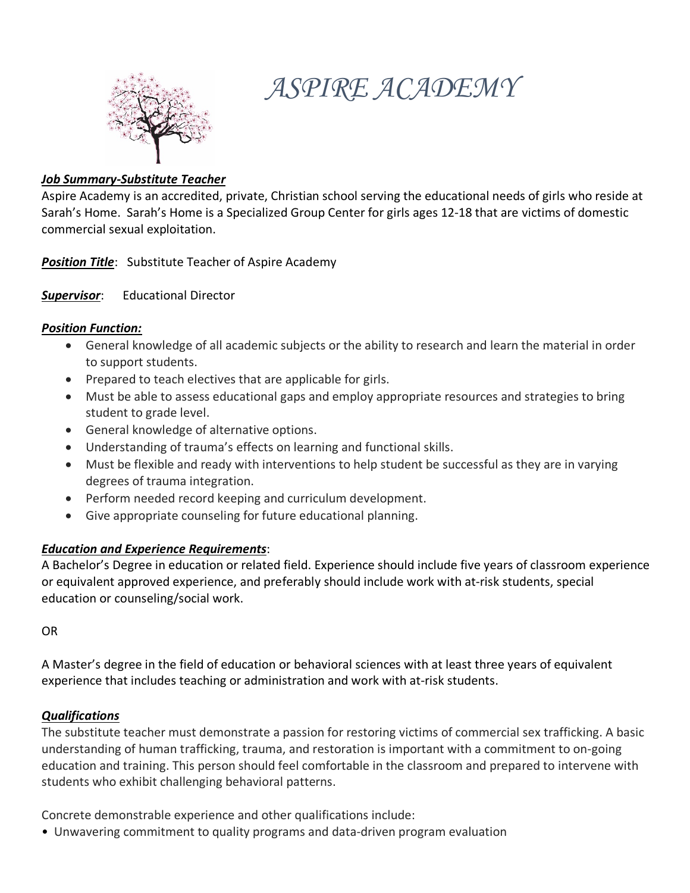

# *ASPIRE ACADEMY*

#### *Job Summary-Substitute Teacher*

Aspire Academy is an accredited, private, Christian school serving the educational needs of girls who reside at Sarah's Home. Sarah's Home is a Specialized Group Center for girls ages 12-18 that are victims of domestic commercial sexual exploitation.

*Position Title*: Substitute Teacher of Aspire Academy

*Supervisor*: Educational Director

#### *Position Function:*

- General knowledge of all academic subjects or the ability to research and learn the material in order to support students.
- Prepared to teach electives that are applicable for girls.
- Must be able to assess educational gaps and employ appropriate resources and strategies to bring student to grade level.
- General knowledge of alternative options.
- Understanding of trauma's effects on learning and functional skills.
- Must be flexible and ready with interventions to help student be successful as they are in varying degrees of trauma integration.
- Perform needed record keeping and curriculum development.
- Give appropriate counseling for future educational planning.

# *Education and Experience Requirements*:

A Bachelor's Degree in education or related field. Experience should include five years of classroom experience or equivalent approved experience, and preferably should include work with at-risk students, special education or counseling/social work.

OR

A Master's degree in the field of education or behavioral sciences with at least three years of equivalent experience that includes teaching or administration and work with at-risk students.

# *Qualifications*

The substitute teacher must demonstrate a passion for restoring victims of commercial sex trafficking. A basic understanding of human trafficking, trauma, and restoration is important with a commitment to on-going education and training. This person should feel comfortable in the classroom and prepared to intervene with students who exhibit challenging behavioral patterns.

Concrete demonstrable experience and other qualifications include:

• Unwavering commitment to quality programs and data-driven program evaluation